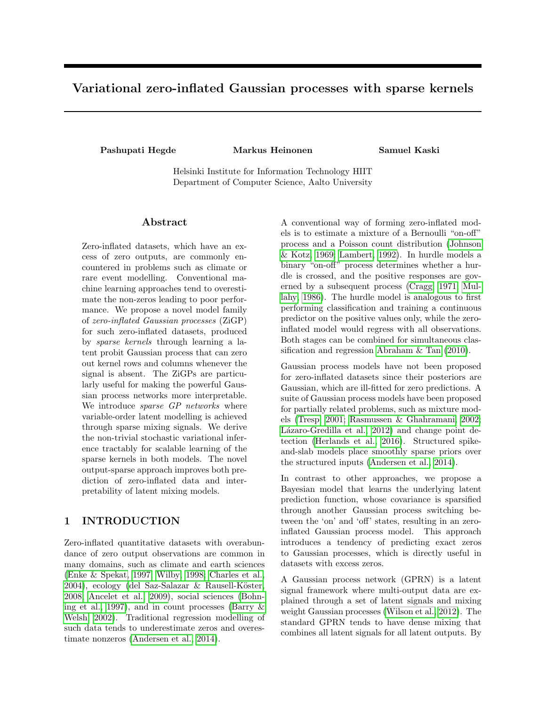# Variational zero-inflated Gaussian processes with sparse kernels

Pashupati Hegde Markus Heinonen

Samuel Kaski

Helsinki Institute for Information Technology HIIT Department of Computer Science, Aalto University

#### Abstract

Zero-inflated datasets, which have an excess of zero outputs, are commonly encountered in problems such as climate or rare event modelling. Conventional machine learning approaches tend to overestimate the non-zeros leading to poor performance. We propose a novel model family of zero-inflated Gaussian processes (ZiGP) for such zero-inflated datasets, produced by sparse kernels through learning a latent probit Gaussian process that can zero out kernel rows and columns whenever the signal is absent. The ZiGPs are particularly useful for making the powerful Gaussian process networks more interpretable. We introduce *sparse GP networks* where variable-order latent modelling is achieved through sparse mixing signals. We derive the non-trivial stochastic variational inference tractably for scalable learning of the sparse kernels in both models. The novel output-sparse approach improves both prediction of zero-inflated data and interpretability of latent mixing models.

## 1 INTRODUCTION

Zero-inflated quantitative datasets with overabundance of zero output observations are common in many domains, such as climate and earth sciences [\(Enke & Spekat, 1997;](#page-9-0) [Wilby, 1998;](#page-10-0) [Charles et al.,](#page-9-1)  $2004$ ), ecology (del Saz-Salazar & Rausell-Köster, [2008;](#page-9-2) [Ancelet et al., 2009\)](#page-9-3), social sciences [\(Bohn](#page-9-4)[ing et al., 1997\)](#page-9-4), and in count processes [\(Barry &](#page-9-5) [Welsh, 2002\)](#page-9-5). Traditional regression modelling of such data tends to underestimate zeros and overestimate nonzeros [\(Andersen et al., 2014\)](#page-9-6).

A conventional way of forming zero-inflated models is to estimate a mixture of a Bernoulli "on-off" process and a Poisson count distribution [\(Johnson](#page-9-7) [& Kotz, 1969;](#page-9-7) [Lambert, 1992\)](#page-9-8). In hurdle models a binary "on-off" process determines whether a hurdle is crossed, and the positive responses are governed by a subsequent process [\(Cragg, 1971;](#page-9-9) [Mul](#page-9-10)[lahy, 1986\)](#page-9-10). The hurdle model is analogous to first performing classification and training a continuous predictor on the positive values only, while the zeroinflated model would regress with all observations. Both stages can be combined for simultaneous classification and regression [Abraham & Tan](#page-9-11) [\(2010\)](#page-9-11).

Gaussian process models have not been proposed for zero-inflated datasets since their posteriors are Gaussian, which are ill-fitted for zero predictions. A suite of Gaussian process models have been proposed for partially related problems, such as mixture models [\(Tresp, 2001;](#page-10-1) [Rasmussen & Ghahramani, 2002;](#page-9-12) Lázaro-Gredilla et al., 2012) and change point detection [\(Herlands et al., 2016\)](#page-9-14). Structured spikeand-slab models place smoothly sparse priors over the structured inputs [\(Andersen et al., 2014\)](#page-9-6).

In contrast to other approaches, we propose a Bayesian model that learns the underlying latent prediction function, whose covariance is sparsified through another Gaussian process switching between the 'on' and 'off' states, resulting in an zeroinflated Gaussian process model. This approach introduces a tendency of predicting exact zeros to Gaussian processes, which is directly useful in datasets with excess zeros.

A Gaussian process network (GPRN) is a latent signal framework where multi-output data are explained through a set of latent signals and mixing weight Gaussian processes [\(Wilson et al., 2012\)](#page-10-2). The standard GPRN tends to have dense mixing that combines all latent signals for all latent outputs. By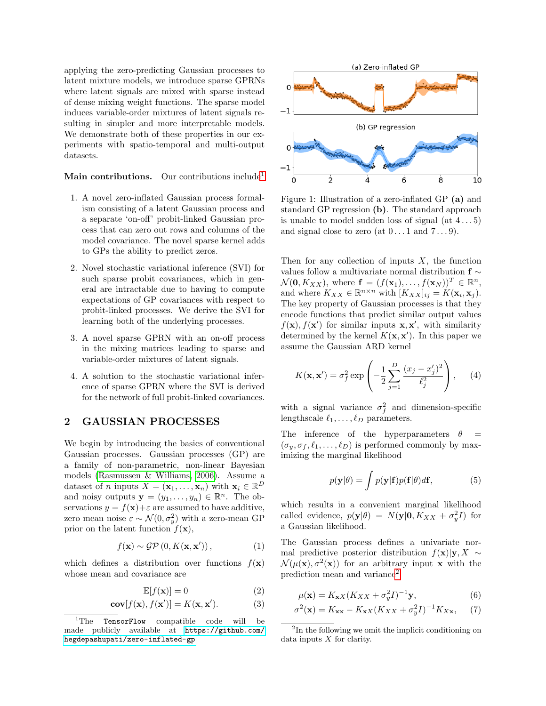applying the zero-predicting Gaussian processes to latent mixture models, we introduce sparse GPRNs where latent signals are mixed with sparse instead of dense mixing weight functions. The sparse model induces variable-order mixtures of latent signals resulting in simpler and more interpretable models. We demonstrate both of these properties in our experiments with spatio-temporal and multi-output datasets.

Main contributions. Our contributions include<sup>[1](#page-1-0)</sup>

- 1. A novel zero-inflated Gaussian process formalism consisting of a latent Gaussian process and a separate 'on-off' probit-linked Gaussian process that can zero out rows and columns of the model covariance. The novel sparse kernel adds to GPs the ability to predict zeros.
- 2. Novel stochastic variational inference (SVI) for such sparse probit covariances, which in general are intractable due to having to compute expectations of GP covariances with respect to probit-linked processes. We derive the SVI for learning both of the underlying processes.
- 3. A novel sparse GPRN with an on-off process in the mixing matrices leading to sparse and variable-order mixtures of latent signals.
- 4. A solution to the stochastic variational inference of sparse GPRN where the SVI is derived for the network of full probit-linked covariances.

### 2 GAUSSIAN PROCESSES

We begin by introducing the basics of conventional Gaussian processes. Gaussian processes (GP) are a family of non-parametric, non-linear Bayesian models [\(Rasmussen & Williams, 2006\)](#page-9-15). Assume a dataset of *n* inputs  $X = (\mathbf{x}_1, ..., \mathbf{x}_n)$  with  $\mathbf{x}_i \in \mathbb{R}^D$ and noisy outputs  $\mathbf{y} = (y_1, \dots, y_n) \in \mathbb{R}^n$ . The observations  $y = f(\mathbf{x}) + \varepsilon$  are assumed to have additive, zero mean noise  $\varepsilon \sim \mathcal{N}(0, \sigma_y^2)$  with a zero-mean GP prior on the latent function  $f(\mathbf{x})$ ,

$$
f(\mathbf{x}) \sim \mathcal{GP}\left(0, K(\mathbf{x}, \mathbf{x}')\right),\tag{1}
$$

which defines a distribution over functions  $f(\mathbf{x})$ whose mean and covariance are

$$
\mathbb{E}[f(\mathbf{x})] = 0 \tag{2}
$$

$$
\mathbf{cov}[f(\mathbf{x}), f(\mathbf{x}')] = K(\mathbf{x}, \mathbf{x}'). \tag{3}
$$



<span id="page-1-2"></span>Figure 1: Illustration of a zero-inflated GP (a) and standard GP regression (b). The standard approach is unable to model sudden loss of signal  $(at 4...5)$ and signal close to zero (at  $0 \ldots 1$  and  $7 \ldots 9$ ).

Then for any collection of inputs  $X$ , the function values follow a multivariate normal distribution f ∼  $\mathcal{N}(\mathbf{0}, K_{XX}),$  where  $\mathbf{f} = (f(\mathbf{x}_1), \dots, f(\mathbf{x}_N))^T \in \mathbb{R}^n$ , and where  $K_{XX} \in \mathbb{R}^{n \times n}$  with  $[K_{XX}]_{ij} = K(\mathbf{x}_i, \mathbf{x}_j)$ . The key property of Gaussian processes is that they encode functions that predict similar output values  $f(\mathbf{x}), f(\mathbf{x}')$  for similar inputs  $\mathbf{x}, \mathbf{x}'$ , with similarity determined by the kernel  $K(\mathbf{x}, \mathbf{x}')$ . In this paper we assume the Gaussian ARD kernel

$$
K(\mathbf{x}, \mathbf{x}') = \sigma_f^2 \exp\left(-\frac{1}{2} \sum_{j=1}^D \frac{(x_j - x'_j)^2}{\ell_j^2}\right), \quad (4)
$$

with a signal variance  $\sigma_f^2$  and dimension-specific lengthscale  $\ell_1, \ldots, \ell_D$  parameters.

The inference of the hyperparameters  $\theta =$  $(\sigma_y, \sigma_f, \ell_1, \ldots, \ell_D)$  is performed commonly by maximizing the marginal likelihood

$$
p(\mathbf{y}|\theta) = \int p(\mathbf{y}|\mathbf{f})p(\mathbf{f}|\theta)d\mathbf{f},
$$
 (5)

which results in a convenient marginal likelihood called evidence,  $p(\mathbf{y}|\theta) = N(\mathbf{y}|\mathbf{0}, K_{XX} + \sigma_y^2 I)$  for a Gaussian likelihood.

The Gaussian process defines a univariate normal predictive posterior distribution  $f(x)|y, X \sim$  $\mathcal{N}(\mu(\mathbf{x}), \sigma^2(\mathbf{x}))$  for an arbitrary input **x** with the prediction mean and variance[2](#page-1-1)

$$
\mu(\mathbf{x}) = K_{\mathbf{x}X}(K_{XX} + \sigma_y^2 I)^{-1} \mathbf{y},\tag{6}
$$

$$
\sigma^2(\mathbf{x}) = K_{\mathbf{x}\mathbf{x}} - K_{\mathbf{x}X}(K_{XX} + \sigma_y^2 I)^{-1} K_{X\mathbf{x}},\tag{7}
$$

<span id="page-1-0"></span> $1$ The TensorFlow compatible code will be made publicly available at [https://github.com/](https://github.com/hegdepashupati/zero-inflated-gp) [hegdepashupati/zero-inflated-gp](https://github.com/hegdepashupati/zero-inflated-gp)

<span id="page-1-1"></span><sup>&</sup>lt;sup>2</sup>In the following we omit the implicit conditioning on data inputs X for clarity.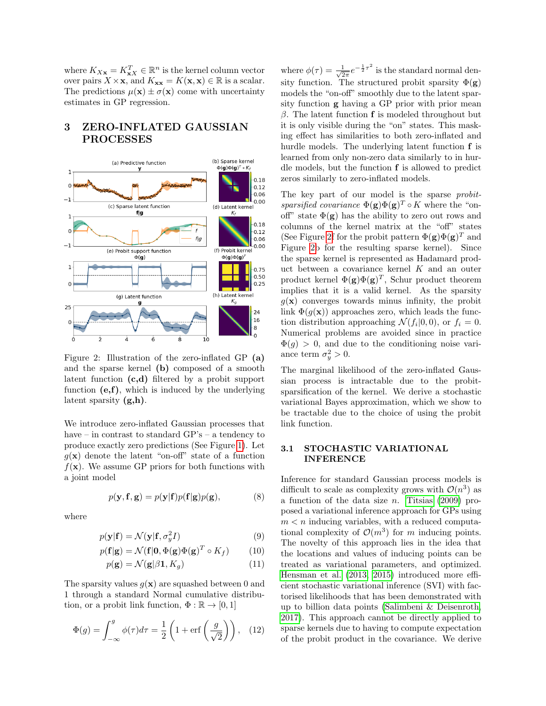where  $K_{X\mathbf{x}} = K_{\mathbf{x}X}^T \in \mathbb{R}^n$  is the kernel column vector over pairs  $X \times \mathbf{x}$ , and  $K_{\mathbf{xx}} = K(\mathbf{x}, \mathbf{x}) \in \mathbb{R}$  is a scalar. The predictions  $\mu(\mathbf{x}) \pm \sigma(\mathbf{x})$  come with uncertainty estimates in GP regression.

# 3 ZERO-INFLATED GAUSSIAN PROCESSES



<span id="page-2-0"></span>Figure 2: Illustration of the zero-inflated GP (a) and the sparse kernel (b) composed of a smooth latent function (c,d) filtered by a probit support function  $(e, f)$ , which is induced by the underlying latent sparsity  $(g,h)$ .

We introduce zero-inflated Gaussian processes that have – in contrast to standard GP's – a tendency to produce exactly zero predictions (See Figure [1\)](#page-1-2). Let  $g(\mathbf{x})$  denote the latent "on-off" state of a function  $f(\mathbf{x})$ . We assume GP priors for both functions with a joint model

$$
p(\mathbf{y}, \mathbf{f}, \mathbf{g}) = p(\mathbf{y}|\mathbf{f})p(\mathbf{f}|\mathbf{g})p(\mathbf{g}),
$$
\n(8)

where

$$
p(\mathbf{y}|\mathbf{f}) = \mathcal{N}(\mathbf{y}|\mathbf{f}, \sigma_y^2 I) \tag{9}
$$

$$
p(\mathbf{f}|\mathbf{g}) = \mathcal{N}(\mathbf{f}|\mathbf{0}, \Phi(\mathbf{g})\Phi(\mathbf{g})^T \circ K_f)
$$
 (10)

$$
p(\mathbf{g}) = \mathcal{N}(\mathbf{g}|\beta \mathbf{1}, K_g) \tag{11}
$$

The sparsity values  $g(\mathbf{x})$  are squashed between 0 and 1 through a standard Normal cumulative distribution, or a probit link function,  $\Phi : \mathbb{R} \to [0, 1]$ 

$$
\Phi(g) = \int_{-\infty}^{g} \phi(\tau) d\tau = \frac{1}{2} \left( 1 + \text{erf}\left(\frac{g}{\sqrt{2}}\right) \right), \quad (12)
$$

where  $\phi(\tau) = \frac{1}{\sqrt{2}}$  $\frac{1}{2\pi}e^{-\frac{1}{2}\tau^2}$  is the standard normal density function. The structured probit sparsity  $\Phi(\mathbf{g})$ models the "on-off" smoothly due to the latent sparsity function g having a GP prior with prior mean β. The latent function **f** is modeled throughout but it is only visible during the "on" states. This masking effect has similarities to both zero-inflated and hurdle models. The underlying latent function f is learned from only non-zero data similarly to in hurdle models, but the function f is allowed to predict zeros similarly to zero-inflated models.

The key part of our model is the sparse probitsparsified covariance  $\Phi(\mathbf{g})\Phi(\mathbf{g})^T \circ K$  where the "onoff" state  $\Phi(\mathbf{g})$  has the ability to zero out rows and columns of the kernel matrix at the "off" states (See Figure [2f](#page-2-0) for the probit pattern  $\Phi(\mathbf{g})\Phi(\mathbf{g})^T$  and Figure [2b](#page-2-0) for the resulting sparse kernel). Since the sparse kernel is represented as Hadamard product between a covariance kernel  $K$  and an outer product kernel  $\Phi(\mathbf{g})\Phi(\mathbf{g})^T$ , Schur product theorem implies that it is a valid kernel. As the sparsity  $q(\mathbf{x})$  converges towards minus infinity, the probit link  $\Phi(g(\mathbf{x}))$  approaches zero, which leads the function distribution approaching  $\mathcal{N}(f_i|0,0)$ , or  $f_i = 0$ . Numerical problems are avoided since in practice  $\Phi(q) > 0$ , and due to the conditioning noise variance term  $\sigma_y^2 > 0$ .

The marginal likelihood of the zero-inflated Gaussian process is intractable due to the probitsparsification of the kernel. We derive a stochastic variational Bayes approximation, which we show to be tractable due to the choice of using the probit link function.

### 3.1 STOCHASTIC VARIATIONAL INFERENCE

<span id="page-2-1"></span>Inference for standard Gaussian process models is difficult to scale as complexity grows with  $\mathcal{O}(n^3)$  as a function of the data size  $n$ . [Titsias](#page-10-3) [\(2009\)](#page-10-3) proposed a variational inference approach for GPs using  $m < n$  inducing variables, with a reduced computational complexity of  $\mathcal{O}(m^3)$  for m inducing points. The novelty of this approach lies in the idea that the locations and values of inducing points can be treated as variational parameters, and optimized. [Hensman et al.](#page-9-16) [\(2013,](#page-9-16) [2015\)](#page-9-17) introduced more efficient stochastic variational inference (SVI) with factorised likelihoods that has been demonstrated with up to billion data points [\(Salimbeni & Deisenroth,](#page-10-4) [2017\)](#page-10-4). This approach cannot be directly applied to sparse kernels due to having to compute expectation of the probit product in the covariance. We derive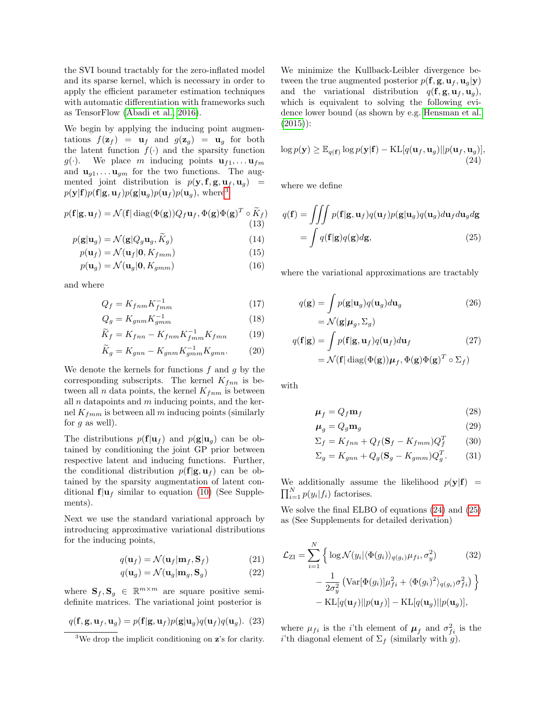the SVI bound tractably for the zero-inflated model and its sparse kernel, which is necessary in order to apply the efficient parameter estimation techniques with automatic differentiation with frameworks such as TensorFlow [\(Abadi et al., 2016\)](#page-9-18).

We begin by applying the inducing point augmentations  $f(\mathbf{z}_f) = \mathbf{u}_f$  and  $g(\mathbf{z}_g) = \mathbf{u}_g$  for both the latent function  $f(\cdot)$  and the sparsity function  $g(\cdot)$ . We place m inducing points  $\mathbf{u}_{f1}, \dots \mathbf{u}_{fm}$ and  $\mathbf{u}_{g1}, \ldots \mathbf{u}_{gm}$  for the two functions. The augmented joint distribution is  $p(\mathbf{y}, \mathbf{f}, \mathbf{g}, \mathbf{u}_f, \mathbf{u}_g)$  =  $p(\mathbf{y}|\mathbf{f})p(\mathbf{f}|\mathbf{g},\mathbf{u}_f)p(\mathbf{g}|\mathbf{u}_q)p(\mathbf{u}_f)p(\mathbf{u}_q)$ , where<sup>[3](#page-3-0)</sup>

$$
p(\mathbf{f}|\mathbf{g}, \mathbf{u}_f) = \mathcal{N}(\mathbf{f}|\operatorname{diag}(\Phi(\mathbf{g}))Q_f\mathbf{u}_f, \Phi(\mathbf{g})\Phi(\mathbf{g})^T \circ \widetilde{K}_f)
$$
\n(13)

$$
p(\mathbf{g}|\mathbf{u}_g) = \mathcal{N}(\mathbf{g}|Q_g \mathbf{u}_g, \widetilde{K}_g)
$$
\n(14)

$$
p(\mathbf{u}_f) = \mathcal{N}(\mathbf{u}_f | \mathbf{0}, K_{fmm})
$$
\n(15)

$$
p(\mathbf{u}_g) = \mathcal{N}(\mathbf{u}_g | \mathbf{0}, K_{gmm})
$$
\n(16)

and where

$$
Q_f = K_{fnm} K_{fmm}^{-1}
$$
\n<sup>(17)</sup>

$$
Q_g = K_{gnm} K_{gmm}^{-1}
$$
 (18)

$$
\widetilde{K}_f = K_{fnn} - K_{fnm} K_{fmm}^{-1} K_{fmn} \tag{19}
$$

$$
\widetilde{K}_g = K_{gnn} - K_{gnm} K_{gmm}^{-1} K_{gmn}.
$$
 (20)

We denote the kernels for functions  $f$  and  $g$  by the corresponding subscripts. The kernel  $K_{finn}$  is between all *n* data points, the kernel  $K_{fnm}$  is between all  $n$  datapoints and  $m$  inducing points, and the kernel  $K_{fmm}$  is between all m inducing points (similarly for q as well).

The distributions  $p(\mathbf{f}|\mathbf{u}_f)$  and  $p(\mathbf{g}|\mathbf{u}_q)$  can be obtained by conditioning the joint GP prior between respective latent and inducing functions. Further, the conditional distribution  $p(\mathbf{f}|\mathbf{g}, \mathbf{u}_f)$  can be obtained by the sparsity augmentation of latent conditional  $f|u_f$  similar to equation [\(10\)](#page-2-1) (See Supplements).

Next we use the standard variational approach by introducing approximative variational distributions for the inducing points,

$$
q(\mathbf{u}_f) = \mathcal{N}(\mathbf{u}_f | \mathbf{m}_f, \mathbf{S}_f)
$$
 (21)

$$
q(\mathbf{u}_g) = \mathcal{N}(\mathbf{u}_g | \mathbf{m}_g, \mathbf{S}_g)
$$
 (22)

where  $\mathbf{S}_f, \mathbf{S}_g \in \mathbb{R}^{m \times m}$  are square positive semidefinite matrices. The variational joint posterior is

$$
q(\mathbf{f}, \mathbf{g}, \mathbf{u}_f, \mathbf{u}_g) = p(\mathbf{f}|\mathbf{g}, \mathbf{u}_f) p(\mathbf{g}|\mathbf{u}_g) q(\mathbf{u}_f) q(\mathbf{u}_g). (23)
$$

We minimize the Kullback-Leibler divergence between the true augmented posterior  $p(\mathbf{f}, \mathbf{g}, \mathbf{u}_f, \mathbf{u}_g|\mathbf{y})$ and the variational distribution  $q(\mathbf{f}, \mathbf{g}, \mathbf{u}_f, \mathbf{u}_g)$ , which is equivalent to solving the following evidence lower bound (as shown by e.g. [Hensman et al.](#page-9-17)  $(2015)$ :

<span id="page-3-1"></span>
$$
\log p(\mathbf{y}) \ge \mathbb{E}_{q(\mathbf{f})} \log p(\mathbf{y}|\mathbf{f}) - \mathrm{KL}[q(\mathbf{u}_f, \mathbf{u}_g)||p(\mathbf{u}_f, \mathbf{u}_g)],
$$
\n(24)

where we define

$$
q(\mathbf{f}) = \iiint p(\mathbf{f}|\mathbf{g}, \mathbf{u}_f) q(\mathbf{u}_f) p(\mathbf{g}|\mathbf{u}_g) q(\mathbf{u}_g) d\mathbf{u}_f d\mathbf{u}_g d\mathbf{g}
$$

$$
= \int q(\mathbf{f}|\mathbf{g}) q(\mathbf{g}) d\mathbf{g}, \qquad (25)
$$

<span id="page-3-3"></span>where the variational approximations are tractably

<span id="page-3-2"></span>
$$
q(\mathbf{g}) = \int p(\mathbf{g}|\mathbf{u}_g)q(\mathbf{u}_g)d\mathbf{u}_g
$$
  
=  $\mathcal{N}(\mathbf{g}|\boldsymbol{\mu}_g, \Sigma_g)$  (26)

<span id="page-3-4"></span>
$$
q(\mathbf{f}|\mathbf{g}) = \int p(\mathbf{f}|\mathbf{g}, \mathbf{u}_f) q(\mathbf{u}_f) d\mathbf{u}_f
$$
 (27)  
=  $\mathcal{N}(\mathbf{f} | \text{diag}(\Phi(\mathbf{g})) \boldsymbol{\mu}_f, \Phi(\mathbf{g}) \Phi(\mathbf{g})^T \circ \Sigma_f)$ 

with

<span id="page-3-7"></span><span id="page-3-5"></span>
$$
\mu_f = Q_f \mathbf{m}_f \tag{28}
$$

<span id="page-3-8"></span>
$$
\mu_g = Q_g \mathbf{m}_g \tag{29}
$$

$$
\Sigma_f = K_{fnn} + Q_f(\mathbf{S}_f - K_{fmm})Q_f^T \tag{30}
$$

<span id="page-3-6"></span>
$$
\Sigma_g = K_{gnn} + Q_g (\mathbf{S}_g - K_{gmm}) Q_g^T.
$$
 (31)

We additionally assume the likelihood  $p(\mathbf{y}|\mathbf{f})$  =  $\prod_{i=1}^{N} p(y_i|f_i)$  factorises.

We solve the final ELBO of equations [\(24\)](#page-3-1) and [\(25\)](#page-3-2) as (See Supplements for detailed derivation)

$$
\mathcal{L}_{ZI} = \sum_{i=1}^{N} \left\{ \log \mathcal{N}(y_i | \langle \Phi(g_i) \rangle_{q(g_i)} \mu_{fi}, \sigma_y^2) - \frac{1}{2\sigma_y^2} \left( \text{Var}[\Phi(g_i)] \mu_{fi}^2 + \langle \Phi(g_i)^2 \rangle_{q(g_i)} \sigma_{fi}^2 \right) \right\} - \text{KL}[q(\mathbf{u}_f) || p(\mathbf{u}_f)] - \text{KL}[q(\mathbf{u}_g) || p(\mathbf{u}_g)],
$$
\n(32)

where  $\mu_{fi}$  is the *i*'th element of  $\mu_f$  and  $\sigma_{fi}^2$  is the i'th diagonal element of  $\Sigma_f$  (similarly with g).

<span id="page-3-0"></span><sup>3</sup>We drop the implicit conditioning on z's for clarity.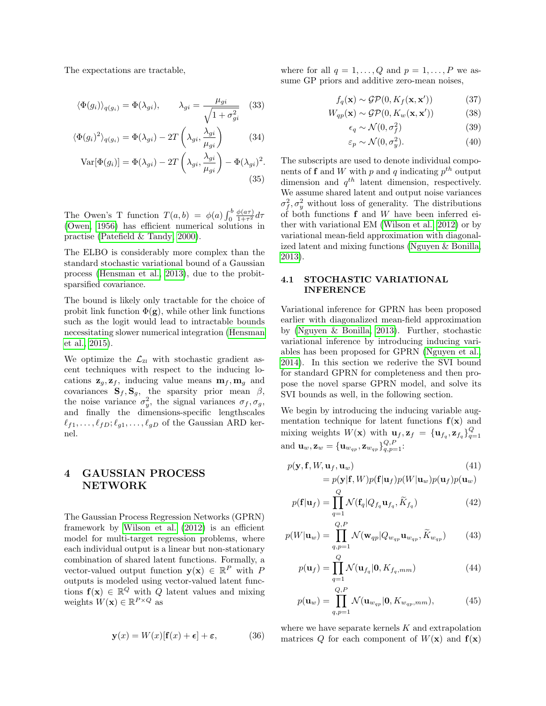The expectations are tractable,

$$
\langle \Phi(g_i) \rangle_{q(g_i)} = \Phi(\lambda_{gi}), \qquad \lambda_{gi} = \frac{\mu_{gi}}{\sqrt{1 + \sigma_{gi}^2}} \quad (33)
$$

$$
\langle \Phi(g_i)^2 \rangle_{q(g_i)} = \Phi(\lambda_{gi}) - 2T \left( \lambda_{gi}, \frac{\lambda_{gi}}{\mu_{gi}} \right)
$$
 (34)

$$
\text{Var}[\Phi(g_i)] = \Phi(\lambda_{gi}) - 2T\left(\lambda_{gi}, \frac{\lambda_{gi}}{\mu_{gi}}\right) - \Phi(\lambda_{gi})^2.
$$
\n(35)

The Owen's T function  $T(a, b) = \phi(a) \int_0^b$  $\phi(a\tau)$  $\frac{\phi(a\tau)}{1+\tau^2}d\tau$ [\(Owen, 1956\)](#page-9-19) has efficient numerical solutions in practise [\(Patefield & Tandy, 2000\)](#page-9-20).

The ELBO is considerably more complex than the standard stochastic variational bound of a Gaussian process [\(Hensman et al., 2013\)](#page-9-16), due to the probitsparsified covariance.

The bound is likely only tractable for the choice of probit link function  $\Phi(\mathbf{g})$ , while other link functions such as the logit would lead to intractable bounds necessitating slower numerical integration [\(Hensman](#page-9-17) [et al., 2015\)](#page-9-17).

We optimize the  $\mathcal{L}_{z}$  with stochastic gradient ascent techniques with respect to the inducing locations  $\mathbf{z}_q, \mathbf{z}_f$ , inducing value means  $\mathbf{m}_f, \mathbf{m}_q$  and covariances  $S_f, S_g$ , the sparsity prior mean  $\beta$ , the noise variance  $\sigma_y^2$ , the signal variances  $\sigma_f, \sigma_g$ , and finally the dimensions-specific lengthscales  $\ell_{f1}, \ldots, \ell_{fD}; \ell_{g1}, \ldots, \ell_{gD}$  of the Gaussian ARD kernel.

### 4 GAUSSIAN PROCESS NETWORK

The Gaussian Process Regression Networks (GPRN) framework by [Wilson et al.](#page-10-2) [\(2012\)](#page-10-2) is an efficient model for multi-target regression problems, where each individual output is a linear but non-stationary combination of shared latent functions. Formally, a vector-valued output function  $\mathbf{y}(\mathbf{x}) \in \mathbb{R}^P$  with P outputs is modeled using vector-valued latent functions  $f(x) \in \mathbb{R}^Q$  with Q latent values and mixing weights  $W(\mathbf{x}) \in \mathbb{R}^{P \times Q}$  as

$$
\mathbf{y}(x) = W(x)[\mathbf{f}(x) + \boldsymbol{\epsilon}] + \boldsymbol{\epsilon}, \tag{36}
$$

<span id="page-4-0"></span>where for all  $q = 1, \ldots, Q$  and  $p = 1, \ldots, P$  we assume GP priors and additive zero-mean noises,

$$
f_q(\mathbf{x}) \sim \mathcal{GP}(0, K_f(\mathbf{x}, \mathbf{x}')) \tag{37}
$$

$$
W_{qp}(\mathbf{x}) \sim \mathcal{GP}(0, K_w(\mathbf{x}, \mathbf{x}')) \tag{38}
$$

$$
\epsilon_q \sim \mathcal{N}(0, \sigma_f^2) \tag{39}
$$

$$
\varepsilon_p \sim \mathcal{N}(0, \sigma_y^2). \tag{40}
$$

The subscripts are used to denote individual components of **f** and *W* with p and q indicating  $p^{th}$  output dimension and  $q^{th}$  latent dimension, respectively. We assume shared latent and output noise variances  $\sigma_f^2$ ,  $\sigma_y^2$  without loss of generality. The distributions of both functions  $f$  and  $W$  have been inferred either with variational EM [\(Wilson et al., 2012\)](#page-10-2) or by variational mean-field approximation with diagonalized latent and mixing functions [\(Nguyen & Bonilla,](#page-9-21) [2013\)](#page-9-21).

#### 4.1 STOCHASTIC VARIATIONAL INFERENCE

Variational inference for GPRN has been proposed earlier with diagonalized mean-field approximation by [\(Nguyen & Bonilla, 2013\)](#page-9-21). Further, stochastic variational inference by introducing inducing variables has been proposed for GPRN [\(Nguyen et al.,](#page-9-22) [2014\)](#page-9-22). In this section we rederive the SVI bound for standard GPRN for completeness and then propose the novel sparse GPRN model, and solve its SVI bounds as well, in the following section.

We begin by introducing the inducing variable augmentation technique for latent functions  $f(x)$  and mixing weights  $W(\mathbf{x})$  with  $\mathbf{u}_f, \mathbf{z}_f = {\mathbf{u}_{f_q}, \mathbf{z}_{f_q}}}_{q=1}^Q$ and  $\mathbf{u}_w, \mathbf{z}_w = \{\mathbf{u}_{w_{qp}}, \mathbf{z}_{w_{qp}}\}_{q,p=1}^{Q,P}$ :

$$
p(\mathbf{y}, \mathbf{f}, W, \mathbf{u}_f, \mathbf{u}_w)
$$
  
=  $p(\mathbf{y}|\mathbf{f}, W)p(\mathbf{f}|\mathbf{u}_f)p(W|\mathbf{u}_w)p(\mathbf{u}_f)p(\mathbf{u}_w))$  (41)

$$
p(\mathbf{f}|\mathbf{u}_f) = \prod_{q=1}^{Q} \mathcal{N}(\mathbf{f}_q|Q_{f_q}\mathbf{u}_{f_q}, \widetilde{K}_{f_q})
$$
(42)

$$
p(W|\mathbf{u}_w) = \prod_{q,p=1}^{Q,P} \mathcal{N}(\mathbf{w}_{qp}|Q_{w_{qp}}\mathbf{u}_{w_{qp}}, \widetilde{K}_{w_{qp}})
$$
(43)

$$
p(\mathbf{u}_f) = \prod_{q=1}^{Q} \mathcal{N}(\mathbf{u}_{f_q}|\mathbf{0}, K_{f_q,mm})
$$
\n(44)

$$
p(\mathbf{u}_w) = \prod_{q,p=1}^{Q,F} \mathcal{N}(\mathbf{u}_{w_{qp}}|\mathbf{0}, K_{w_{qp},mm}),
$$
(45)

where we have separate kernels  $K$  and extrapolation matrices Q for each component of  $W(\mathbf{x})$  and  $\mathbf{f}(\mathbf{x})$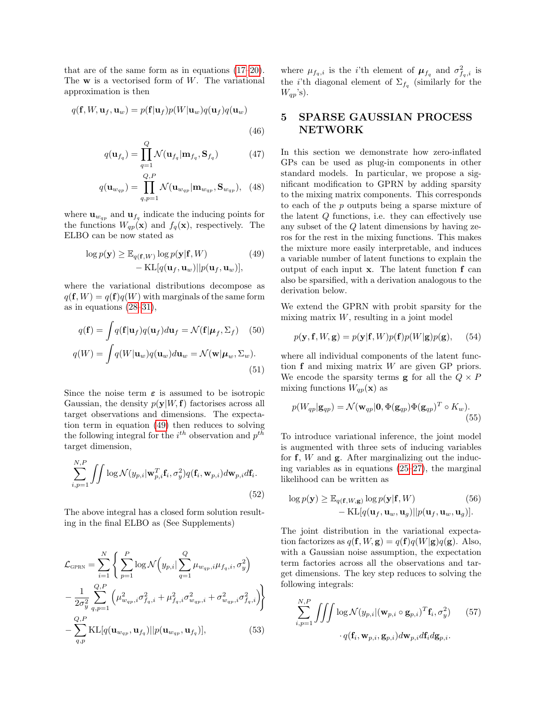that are of the same form as in equations [\(17](#page-3-3)[–20\)](#page-3-4). The  $w$  is a vectorised form of  $W$ . The variational approximation is then

$$
q(\mathbf{f}, W, \mathbf{u}_f, \mathbf{u}_w) = p(\mathbf{f}|\mathbf{u}_f) p(W|\mathbf{u}_w) q(\mathbf{u}_f) q(\mathbf{u}_w)
$$

$$
q(\mathbf{u}_{f_q}) = \prod_{q=1}^{Q} \mathcal{N}(\mathbf{u}_{f_q} | \mathbf{m}_{f_q}, \mathbf{S}_{f_q})
$$
(47)

(46)

$$
q(\mathbf{u}_{w_{qp}}) = \prod_{q,p=1}^{Q,P} \mathcal{N}(\mathbf{u}_{w_{qp}} | \mathbf{m}_{w_{qp}}, \mathbf{S}_{w_{qp}}), \quad (48)
$$

where  $\mathbf{u}_{w_{qp}}$  and  $\mathbf{u}_{f_q}$  indicate the inducing points for the functions  $W_{qp}(\mathbf{x})$  and  $f_q(\mathbf{x})$ , respectively. The ELBO can be now stated as

$$
\log p(\mathbf{y}) \ge \mathbb{E}_{q(\mathbf{f}, W)} \log p(\mathbf{y}|\mathbf{f}, W)
$$
  
- KL[q(\mathbf{u}\_f, \mathbf{u}\_w)||p(\mathbf{u}\_f, \mathbf{u}\_w)], (49)

where the variational distributions decompose as  $q(\mathbf{f}, W) = q(\mathbf{f})q(W)$  with marginals of the same form as in equations [\(28](#page-3-5)[–31\)](#page-3-6),

$$
q(\mathbf{f}) = \int q(\mathbf{f}|\mathbf{u}_f)q(\mathbf{u}_f)d\mathbf{u}_f = \mathcal{N}(\mathbf{f}|\boldsymbol{\mu}_f, \Sigma_f) \quad (50)
$$

$$
q(W) = \int q(W|\mathbf{u}_w)q(\mathbf{u}_w)d\mathbf{u}_w = \mathcal{N}(\mathbf{w}|\boldsymbol{\mu}_w, \Sigma_w).
$$
(51)

Since the noise term  $\varepsilon$  is assumed to be isotropic Gaussian, the density  $p(\mathbf{y}|W,\mathbf{f})$  factorises across all target observations and dimensions. The expectation term in equation [\(49\)](#page-5-0) then reduces to solving the following integral for the  $i^{th}$  observation and  $p^{th}$ target dimension,

$$
\sum_{i,p=1}^{N,P} \iint \log \mathcal{N}(y_{p,i}|\mathbf{w}_{p,i}^T \mathbf{f}_i, \sigma_y^2) q(\mathbf{f}_i, \mathbf{w}_{p,i}) d\mathbf{w}_{p,i} d\mathbf{f}_i.
$$
\n(52)

The above integral has a closed form solution resulting in the final ELBO as (See Supplements)

$$
\mathcal{L}_{\text{GPRN}} = \sum_{i=1}^{N} \left\{ \sum_{p=1}^{P} \log \mathcal{N}\left(y_{p,i} | \sum_{q=1}^{Q} \mu_{w_{qp},i} \mu_{f_q,i}, \sigma_y^2\right) \right.\n- \frac{1}{2\sigma_y^2} \sum_{q,p=1}^{Q,P} \left( \mu_{w_{qp},i}^2 \sigma_{f_q,i}^2 + \mu_{f_q,i}^2 \sigma_{w_{qp},i}^2 + \sigma_{w_{qp},i}^2 \sigma_{f_q,i}^2 \right) \right\}\n- \sum_{q,p} \text{KL}[q(\mathbf{u}_{w_{qp}}, \mathbf{u}_{f_q}) || p(\mathbf{u}_{w_{qp}}, \mathbf{u}_{f_q})], \tag{53}
$$

where  $\mu_{f_q,i}$  is the *i*'th element of  $\mu_{f_q}$  and  $\sigma_{f_q,i}^2$  is the *i*'th diagonal element of  $\Sigma_{f_q}$  (similarly for the  $W_{qp}$ 's).

### 5 SPARSE GAUSSIAN PROCESS NETWORK

In this section we demonstrate how zero-inflated GPs can be used as plug-in components in other standard models. In particular, we propose a significant modification to GPRN by adding sparsity to the mixing matrix components. This corresponds to each of the  $p$  outputs being a sparse mixture of the latent Q functions, i.e. they can effectively use any subset of the Q latent dimensions by having zeros for the rest in the mixing functions. This makes the mixture more easily interpretable, and induces a variable number of latent functions to explain the output of each input x. The latent function f can also be sparsified, with a derivation analogous to the derivation below.

<span id="page-5-0"></span>We extend the GPRN with probit sparsity for the mixing matrix  $W$ , resulting in a joint model

$$
p(\mathbf{y}, \mathbf{f}, W, \mathbf{g}) = p(\mathbf{y}|\mathbf{f}, W)p(\mathbf{f})p(W|\mathbf{g})p(\mathbf{g}), \quad (54)
$$

where all individual components of the latent function f and mixing matrix W are given GP priors. We encode the sparsity terms **g** for all the  $Q \times P$ mixing functions  $W_{ap}(\mathbf{x})$  as

$$
p(W_{qp}|\mathbf{g}_{qp}) = \mathcal{N}(\mathbf{w}_{qp}|\mathbf{0}, \Phi(\mathbf{g}_{qp})\Phi(\mathbf{g}_{qp})^T \circ K_w).
$$
\n(55)

To introduce variational inference, the joint model is augmented with three sets of inducing variables for  $f, W$  and  $g$ . After marginalizing out the inducing variables as in equations [\(25](#page-3-2)[–27\)](#page-3-7), the marginal likelihood can be written as

$$
\log p(\mathbf{y}) \ge \mathbb{E}_{q(\mathbf{f}, W, \mathbf{g})} \log p(\mathbf{y} | \mathbf{f}, W)
$$
\n
$$
- \mathrm{KL}[q(\mathbf{u}_f, \mathbf{u}_w, \mathbf{u}_g) || p(\mathbf{u}_f, \mathbf{u}_w, \mathbf{u}_g)].
$$
\n(56)

The joint distribution in the variational expectation factorizes as  $q(\mathbf{f}, W, \mathbf{g}) = q(\mathbf{f})q(W|\mathbf{g})q(\mathbf{g})$ . Also, with a Gaussian noise assumption, the expectation term factories across all the observations and target dimensions. The key step reduces to solving the following integrals:

$$
\sum_{i,p=1}^{N,P} \iiint \log \mathcal{N}(y_{p,i}|(\mathbf{w}_{p,i} \circ \mathbf{g}_{p,i})^T \mathbf{f}_i, \sigma_y^2) \qquad (57)
$$

$$
\cdot q(\mathbf{f}_i, \mathbf{w}_{p,i}, \mathbf{g}_{p,i}) d\mathbf{w}_{p,i} d\mathbf{f}_i d\mathbf{g}_{p,i}.
$$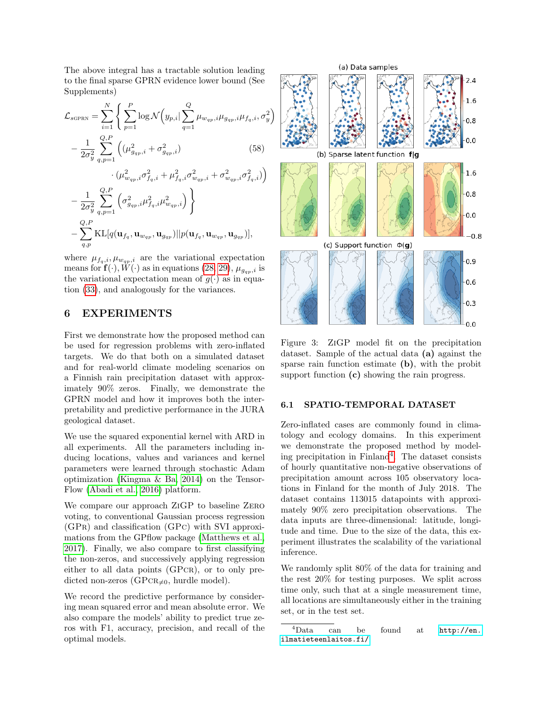The above integral has a tractable solution leading to the final sparse GPRN evidence lower bound (See Supplements)

$$
\mathcal{L}_{\text{SGPRN}} = \sum_{i=1}^{N} \left\{ \sum_{p=1}^{P} \log \mathcal{N} (y_{p,i} | \sum_{q=1}^{Q} \mu_{w_{qp},i} \mu_{g_{qp},i} \mu_{f_q,i}, \sigma_y^2) - \frac{1}{2\sigma_y^2} \sum_{q,p=1}^{Q,P} \left( (\mu_{g_{qp},i}^2 + \sigma_{g_{qp},i}^2) \right) \right. \\ \left. - (\mu_{w_{qp},i}^2 \sigma_{f_q,i}^2 + \mu_{f_q,i}^2 \sigma_{w_{qp},i}^2 + \sigma_{w_{qp},i}^2 \sigma_{f_q,i}^2) \right) - \frac{1}{2\sigma_y^2} \sum_{q,p=1}^{Q,P} \left( \sigma_{g_{qp},i}^2 \mu_{f_q,i}^2 \mu_{w_{qp},i}^2 \right) \right\} - \sum_{q,p} \text{KL}[q(\mathbf{u}_{f_q}, \mathbf{u}_{w_{qp}}, \mathbf{u}_{g_{qp}}) || p(\mathbf{u}_{f_q}, \mathbf{u}_{w_{qp}}, \mathbf{u}_{g_{qp}})],
$$

where  $\mu_{f_q,i}, \mu_{w_{qp},i}$  are the variational expectation means for  $f(\cdot), W(\cdot)$  as in equations [\(28,](#page-3-5) [29\)](#page-3-8),  $\mu_{g_{qp},i}$  is the variational expectation mean of  $g(\cdot)$  as in equation [\(33\)](#page-4-0), and analogously for the variances.

### 6 EXPERIMENTS

First we demonstrate how the proposed method can be used for regression problems with zero-inflated targets. We do that both on a simulated dataset and for real-world climate modeling scenarios on a Finnish rain precipitation dataset with approximately 90% zeros. Finally, we demonstrate the GPRN model and how it improves both the interpretability and predictive performance in the JURA geological dataset.

We use the squared exponential kernel with ARD in all experiments. All the parameters including inducing locations, values and variances and kernel parameters were learned through stochastic Adam optimization [\(Kingma & Ba, 2014\)](#page-9-23) on the Tensor-Flow [\(Abadi et al., 2016\)](#page-9-18) platform.

We compare our approach  $ZIGP$  to baseline  $ZERO$ voting, to conventional Gaussian process regression  $(GPR)$  and classification  $(GPC)$  with SVI approximations from the GPflow package [\(Matthews et al.,](#page-9-24) [2017\)](#page-9-24). Finally, we also compare to first classifying the non-zeros, and successively applying regression either to all data points (GPCR), or to only predicted non-zeros (GPCR $_{\neq 0}$ , hurdle model).

We record the predictive performance by considering mean squared error and mean absolute error. We also compare the models' ability to predict true zeros with F1, accuracy, precision, and recall of the optimal models.



<span id="page-6-1"></span>Figure 3: ZiGP model fit on the precipitation dataset. Sample of the actual data (a) against the sparse rain function estimate (b), with the probit support function (c) showing the rain progress.

#### 6.1 SPATIO-TEMPORAL DATASET

Zero-inflated cases are commonly found in climatology and ecology domains. In this experiment we demonstrate the proposed method by modeling precipitation in Finland[4](#page-6-0) . The dataset consists of hourly quantitative non-negative observations of precipitation amount across 105 observatory locations in Finland for the month of July 2018. The dataset contains 113015 datapoints with approximately 90% zero precipitation observations. The data inputs are three-dimensional: latitude, longitude and time. Due to the size of the data, this experiment illustrates the scalability of the variational inference.

We randomly split 80% of the data for training and the rest 20% for testing purposes. We split across time only, such that at a single measurement time, all locations are simultaneously either in the training set, or in the test set.

<span id="page-6-0"></span><sup>4</sup>Data can be found at [http://en.](http://en.ilmatieteenlaitos.fi/) [ilmatieteenlaitos.fi/](http://en.ilmatieteenlaitos.fi/)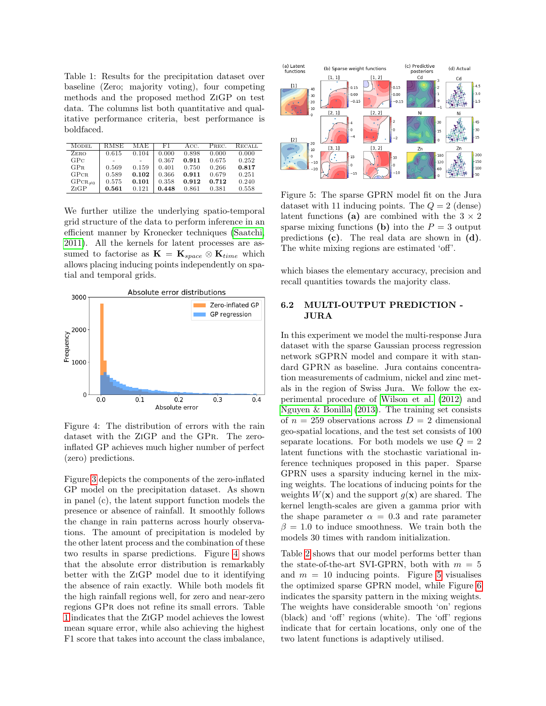<span id="page-7-1"></span>Table 1: Results for the precipitation dataset over baseline (Zero; majority voting), four competing methods and the proposed method ZiGP on test data. The columns list both quantitative and qualitative performance criteria, best performance is boldfaced.

| <b>MODEL</b>    | <b>RMSE</b> | MAE   | F1    | Acc.  | PREC. | RECALL |
|-----------------|-------------|-------|-------|-------|-------|--------|
| ZERO            | 0.615       | 0.104 | 0.000 | 0.898 | 0.000 | 0.000  |
| GPC             |             |       | 0.367 | 0.911 | 0.675 | 0.252  |
| GPR             | 0.569       | 0.159 | 0.401 | 0.750 | 0.266 | 0.817  |
| GPer            | 0.589       | 0.102 | 0.366 | 0.911 | 0.679 | 0.251  |
| $GPCR_{\neq 0}$ | 0.575       | 0.101 | 0.358 | 0.912 | 0.712 | 0.240  |
| $Z_IGP$         | 0.561       | 0.121 | 0.448 | 0.861 | 0.381 | 0.558  |

We further utilize the underlying spatio-temporal grid structure of the data to perform inference in an efficient manner by Kronecker techniques [\(Saatchi,](#page-9-25) [2011\)](#page-9-25). All the kernels for latent processes are assumed to factorise as  $\mathbf{K} = \mathbf{K}_{space} \otimes \mathbf{K}_{time}$  which allows placing inducing points independently on spatial and temporal grids.



<span id="page-7-0"></span>Figure 4: The distribution of errors with the rain dataset with the ZiGP and the GPr. The zeroinflated GP achieves much higher number of perfect (zero) predictions.

Figure [3](#page-6-1) depicts the components of the zero-inflated GP model on the precipitation dataset. As shown in panel (c), the latent support function models the presence or absence of rainfall. It smoothly follows the change in rain patterns across hourly observations. The amount of precipitation is modeled by the other latent process and the combination of these two results in sparse predictions. Figure [4](#page-7-0) shows that the absolute error distribution is remarkably better with the ZiGP model due to it identifying the absence of rain exactly. While both models fit the high rainfall regions well, for zero and near-zero regions GPr does not refine its small errors. Table [1](#page-7-1) indicates that the ZiGP model achieves the lowest mean square error, while also achieving the highest F1 score that takes into account the class imbalance,



<span id="page-7-2"></span>Figure 5: The sparse GPRN model fit on the Jura dataset with 11 inducing points. The  $Q = 2$  (dense) latent functions (a) are combined with the  $3 \times 2$ sparse mixing functions (b) into the  $P = 3$  output predictions (c). The real data are shown in (d). The white mixing regions are estimated 'off'.

which biases the elementary accuracy, precision and recall quantities towards the majority class.

#### 6.2 MULTI-OUTPUT PREDICTION - JURA

In this experiment we model the multi-response Jura dataset with the sparse Gaussian process regression network sGPRN model and compare it with standard GPRN as baseline. Jura contains concentration measurements of cadmium, nickel and zinc metals in the region of Swiss Jura. We follow the experimental procedure of [Wilson et al.](#page-10-2) [\(2012\)](#page-10-2) and [Nguyen & Bonilla](#page-9-21) [\(2013\)](#page-9-21). The training set consists of  $n = 259$  observations across  $D = 2$  dimensional geo-spatial locations, and the test set consists of 100 separate locations. For both models we use  $Q = 2$ latent functions with the stochastic variational inference techniques proposed in this paper. Sparse GPRN uses a sparsity inducing kernel in the mixing weights. The locations of inducing points for the weights  $W(\mathbf{x})$  and the support  $g(\mathbf{x})$  are shared. The kernel length-scales are given a gamma prior with the shape parameter  $\alpha = 0.3$  and rate parameter  $\beta = 1.0$  to induce smoothness. We train both the models 30 times with random initialization.

Table [2](#page-8-0) shows that our model performs better than the state-of-the-art SVI-GPRN, both with  $m = 5$ and  $m = 10$  inducing points. Figure [5](#page-7-2) visualises the optimized sparse GPRN model, while Figure [6](#page-8-1) indicates the sparsity pattern in the mixing weights. The weights have considerable smooth 'on' regions (black) and 'off' regions (white). The 'off' regions indicate that for certain locations, only one of the two latent functions is adaptively utilised.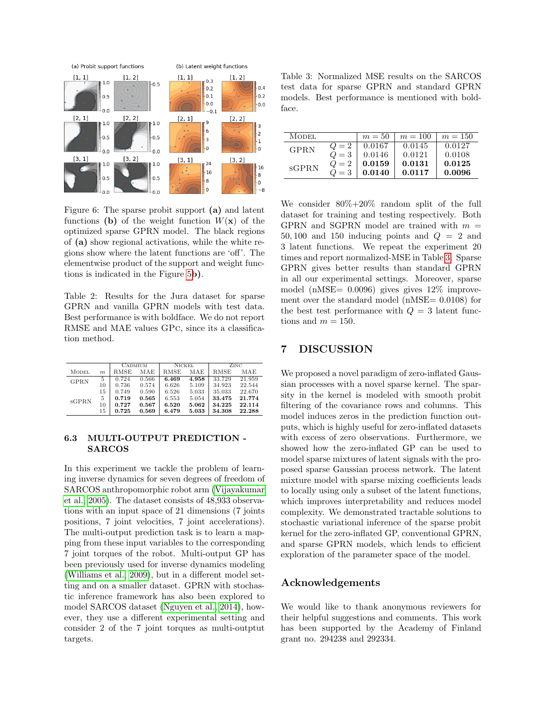

<span id="page-8-1"></span>Figure 6: The sparse probit support (a) and latent functions (b) of the weight function  $W(\mathbf{x})$  of the optimized sparse GPRN model. The black regions of (a) show regional activations, while the white regions show where the latent functions are 'off'. The elementwise product of the support and weight functions is indicated in the Figure [5](#page-7-2)b).

<span id="page-8-0"></span>Table 2: Results for the Jura dataset for sparse GPRN and vanilla GPRN models with test data. Best performance is with boldface. We do not report RMSE and MAE values GPc, since its a classification method.

|              |                  | CADMIUM     |       | <b>NICKEL</b> |       | ZINC        |        |
|--------------|------------------|-------------|-------|---------------|-------|-------------|--------|
| <b>MODEL</b> | $\boldsymbol{m}$ | <b>RMSE</b> | MAE   | <b>RMSE</b>   | MAE   | <b>RMSE</b> | MAE    |
| <b>GPRN</b>  | 5                | 0.724       | 0.566 | 6.469         | 4.958 | 33.729      | 21.959 |
|              | 10               | 0.736       | 0.574 | 6.626         | 5.109 | 34.923      | 22.544 |
|              | 15               | 0.749       | 0.590 | 6.526         | 5.033 | 35.033      | 22.670 |
| sGPRN        | 5                | 0.719       | 0.565 | 6.553         | 5.054 | 33.475      | 21.774 |
|              | 10               | 0.727       | 0.567 | 6.520         | 5.062 | 34.225      | 22.114 |
|              | 15               | 0.725       | 0.569 | 6.479         | 5.033 | 34.308      | 22.288 |

#### 6.3 MULTI-OUTPUT PREDICTION - SARCOS

In this experiment we tackle the problem of learning inverse dynamics for seven degrees of freedom of SARCOS anthropomorphic robot arm [\(Vijayakumar](#page-10-5) [et al., 2005\)](#page-10-5). The dataset consists of 48,933 observations with an input space of 21 dimensions (7 joints positions, 7 joint velocities, 7 joint accelerations). The multi-output prediction task is to learn a mapping from these input variables to the corresponding 7 joint torques of the robot. Multi-output GP has been previously used for inverse dynamics modeling [\(Williams et al., 2009\)](#page-10-6), but in a different model setting and on a smaller dataset. GPRN with stochastic inference framework has also been explored to model SARCOS dataset [\(Nguyen et al., 2014\)](#page-9-22), however, they use a different experimental setting and consider 2 of the 7 joint torques as multi-outptut targets.

<span id="page-8-2"></span>Table 3: Normalized MSE results on the SARCOS test data for sparse GPRN and standard GPRN models. Best performance is mentioned with boldface.

| MODEL.      |       | $m=50$ | $m = 100$ | $m = 150$ |
|-------------|-------|--------|-----------|-----------|
| <b>GPRN</b> | $Q=2$ | 0.0167 | 0.0145    | 0.0127    |
|             | $Q=3$ | 0.0146 | 0.0121    | 0.0108    |
| sGPRN       | $Q=2$ | 0.0159 | 0.0131    | 0.0125    |
|             | $Q=3$ | 0.0140 | 0.0117    | 0.0096    |

We consider 80%+20% random split of the full dataset for training and testing respectively. Both GPRN and SGPRN model are trained with  $m =$ 50, 100 and 150 inducing points and  $Q = 2$  and 3 latent functions. We repeat the experiment 20 times and report normalized-MSE in Table [3.](#page-8-2) Sparse GPRN gives better results than standard GPRN in all our experimental settings. Moreover, sparse model (nMSE=  $0.0096$ ) gives gives  $12\%$  improvement over the standard model (nMSE= 0.0108) for the best test performance with  $Q = 3$  latent functions and  $m = 150$ .

### 7 DISCUSSION

We proposed a novel paradigm of zero-inflated Gaussian processes with a novel sparse kernel. The sparsity in the kernel is modeled with smooth probit filtering of the covariance rows and columns. This model induces zeros in the prediction function outputs, which is highly useful for zero-inflated datasets with excess of zero observations. Furthermore, we showed how the zero-inflated GP can be used to model sparse mixtures of latent signals with the proposed sparse Gaussian process network. The latent mixture model with sparse mixing coefficients leads to locally using only a subset of the latent functions, which improves interpretability and reduces model complexity. We demonstrated tractable solutions to stochastic variational inference of the sparse probit kernel for the zero-inflated GP, conventional GPRN, and sparse GPRN models, which lends to efficient exploration of the parameter space of the model.

## Acknowledgements

We would like to thank anonymous reviewers for their helpful suggestions and comments. This work has been supported by the Academy of Finland grant no. 294238 and 292334.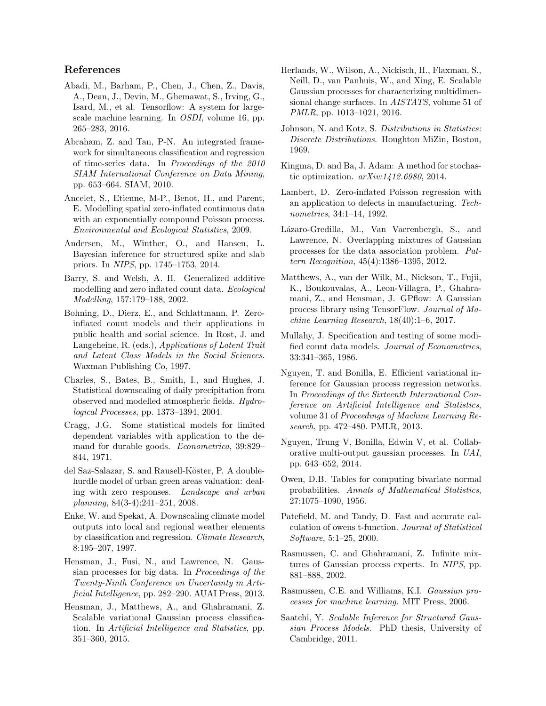### References

- <span id="page-9-18"></span>Abadi, M., Barham, P., Chen, J., Chen, Z., Davis, A., Dean, J., Devin, M., Ghemawat, S., Irving, G., Isard, M., et al. Tensorflow: A system for largescale machine learning. In OSDI, volume 16, pp. 265–283, 2016.
- <span id="page-9-11"></span>Abraham, Z. and Tan, P-N. An integrated framework for simultaneous classification and regression of time-series data. In Proceedings of the 2010 SIAM International Conference on Data Mining, pp. 653–664. SIAM, 2010.
- <span id="page-9-3"></span>Ancelet, S., Etienne, M-P., Benot, H., and Parent, E. Modelling spatial zero-inflated continuous data with an exponentially compound Poisson process. Environmental and Ecological Statistics, 2009.
- <span id="page-9-6"></span>Andersen, M., Winther, O., and Hansen, L. Bayesian inference for structured spike and slab priors. In NIPS, pp. 1745–1753, 2014.
- <span id="page-9-5"></span>Barry, S. and Welsh, A. H. Generalized additive modelling and zero inflated count data. Ecological Modelling, 157:179–188, 2002.
- <span id="page-9-4"></span>Bohning, D., Dierz, E., and Schlattmann, P. Zeroinflated count models and their applications in public health and social science. In Rost, J. and Langeheine, R. (eds.), Applications of Latent Trait and Latent Class Models in the Social Sciences. Waxman Publishing Co, 1997.
- <span id="page-9-1"></span>Charles, S., Bates, B., Smith, I., and Hughes, J. Statistical downscaling of daily precipitation from observed and modelled atmospheric fields. Hydrological Processes, pp. 1373–1394, 2004.
- <span id="page-9-9"></span>Cragg, J.G. Some statistical models for limited dependent variables with application to the demand for durable goods. Econometrica, 39:829– 844, 1971.
- <span id="page-9-2"></span>del Saz-Salazar, S. and Rausell-Köster, P. A doublehurdle model of urban green areas valuation: dealing with zero responses. Landscape and urban planning, 84(3-4):241–251, 2008.
- <span id="page-9-0"></span>Enke, W. and Spekat, A. Downscaling climate model outputs into local and regional weather elements by classification and regression. Climate Research, 8:195–207, 1997.
- <span id="page-9-16"></span>Hensman, J., Fusi, N., and Lawrence, N. Gaussian processes for big data. In Proceedings of the Twenty-Ninth Conference on Uncertainty in Artificial Intelligence, pp. 282–290. AUAI Press, 2013.
- <span id="page-9-17"></span>Hensman, J., Matthews, A., and Ghahramani, Z. Scalable variational Gaussian process classification. In Artificial Intelligence and Statistics, pp. 351–360, 2015.
- <span id="page-9-14"></span>Herlands, W., Wilson, A., Nickisch, H., Flaxman, S., Neill, D., van Panhuis, W., and Xing, E. Scalable Gaussian processes for characterizing multidimensional change surfaces. In AISTATS, volume 51 of PMLR, pp. 1013–1021, 2016.
- <span id="page-9-7"></span>Johnson, N. and Kotz, S. Distributions in Statistics: Discrete Distributions. Houghton MiZin, Boston, 1969.
- <span id="page-9-23"></span>Kingma, D. and Ba, J. Adam: A method for stochastic optimization. arXiv:1412.6980, 2014.
- <span id="page-9-8"></span>Lambert, D. Zero-inflated Poisson regression with an application to defects in manufacturing. Technometrics, 34:1–14, 1992.
- <span id="page-9-13"></span>Lázaro-Gredilla, M., Van Vaerenbergh, S., and Lawrence, N. Overlapping mixtures of Gaussian processes for the data association problem. Pattern Recognition, 45(4):1386–1395, 2012.
- <span id="page-9-24"></span>Matthews, A., van der Wilk, M., Nickson, T., Fujii, K., Boukouvalas, A., Leon-Villagra, P., Ghahramani, Z., and Hensman, J. GPflow: A Gaussian process library using TensorFlow. Journal of Machine Learning Research, 18(40):1–6, 2017.
- <span id="page-9-10"></span>Mullahy, J. Specification and testing of some modified count data models. Journal of Econometrics, 33:341–365, 1986.
- <span id="page-9-21"></span>Nguyen, T. and Bonilla, E. Efficient variational inference for Gaussian process regression networks. In Proceedings of the Sixteenth International Conference on Artificial Intelligence and Statistics, volume 31 of Proceedings of Machine Learning Research, pp. 472–480. PMLR, 2013.
- <span id="page-9-22"></span>Nguyen, Trung V, Bonilla, Edwin V, et al. Collaborative multi-output gaussian processes. In UAI, pp. 643–652, 2014.
- <span id="page-9-19"></span>Owen, D.B. Tables for computing bivariate normal probabilities. Annals of Mathematical Statistics, 27:1075–1090, 1956.
- <span id="page-9-20"></span>Patefield, M. and Tandy, D. Fast and accurate calculation of owens t-function. Journal of Statistical Software, 5:1–25, 2000.
- <span id="page-9-12"></span>Rasmussen, C. and Ghahramani, Z. Infinite mixtures of Gaussian process experts. In NIPS, pp. 881–888, 2002.
- <span id="page-9-15"></span>Rasmussen, C.E. and Williams, K.I. Gaussian processes for machine learning. MIT Press, 2006.
- <span id="page-9-25"></span>Saatchi, Y. Scalable Inference for Structured Gaussian Process Models. PhD thesis, University of Cambridge, 2011.